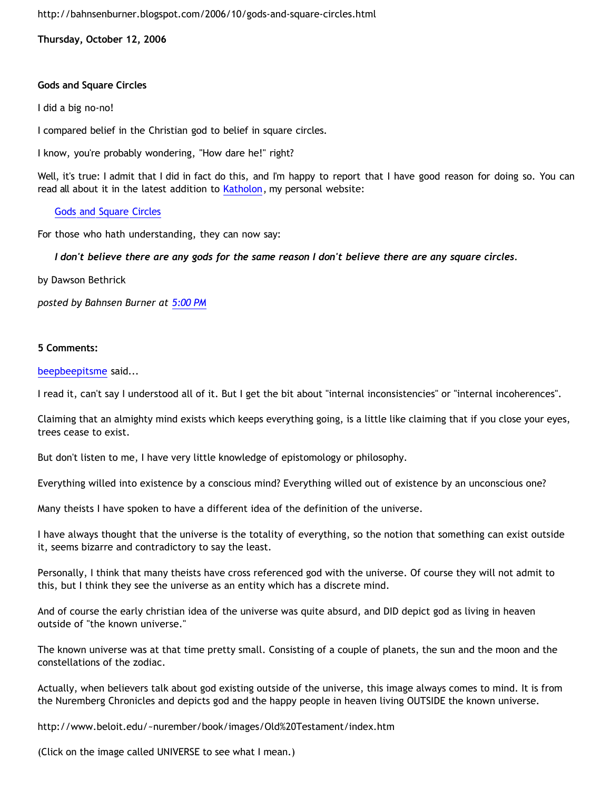<http://bahnsenburner.blogspot.com/2006/10/gods-and-square-circles.html>

**Thursday, October 12, 2006**

## **Gods and Square Circles**

I did a big no-no!

I compared belief in the Christian god to belief in square circles.

I know, you're probably wondering, "How dare he!" right?

Well, it's true: I admit that I did in fact do this, and I'm happy to report that I have good reason for doing so. You can read all about it in the latest addition to [Katholon,](http://www.geocities.com/katholon/index.htm) my personal website:

[Gods and Square Circles](http://www.geocities.com/katholon/squarecircles.htm)

For those who hath understanding, they can now say:

*I don't believe there are any gods for the same reason I don't believe there are any square circles.*

by Dawson Bethrick

*posted by Bahnsen Burner at [5:00 PM](http://bahnsenburner.blogspot.com/2006/10/gods-and-square-circles.html)*

## **5 Comments:**

[beepbeepitsme](http://www.blogger.com/profile/15679570) said...

I read it, can't say I understood all of it. But I get the bit about "internal inconsistencies" or "internal incoherences".

Claiming that an almighty mind exists which keeps everything going, is a little like claiming that if you close your eyes, trees cease to exist.

But don't listen to me, I have very little knowledge of epistomology or philosophy.

Everything willed into existence by a conscious mind? Everything willed out of existence by an unconscious one?

Many theists I have spoken to have a different idea of the definition of the universe.

I have always thought that the universe is the totality of everything, so the notion that something can exist outside it, seems bizarre and contradictory to say the least.

Personally, I think that many theists have cross referenced god with the universe. Of course they will not admit to this, but I think they see the universe as an entity which has a discrete mind.

And of course the early christian idea of the universe was quite absurd, and DID depict god as living in heaven outside of "the known universe."

The known universe was at that time pretty small. Consisting of a couple of planets, the sun and the moon and the constellations of the zodiac.

Actually, when believers talk about god existing outside of the universe, this image always comes to mind. It is from the Nuremberg Chronicles and depicts god and the happy people in heaven living OUTSIDE the known universe.

<http://www.beloit.edu/~nurember/book/images/Old%20Testament/index.htm>

(Click on the image called UNIVERSE to see what I mean.)